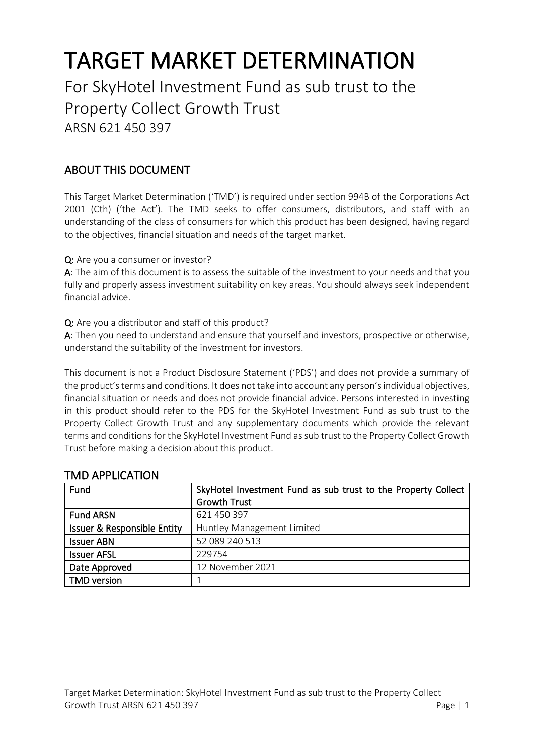# TARGET MARKET DETERMINATION For SkyHotel Investment Fund as sub trust to the Property Collect Growth Trust ARSN 621 450 397

# ABOUT THIS DOCUMENT

This Target Market Determination ('TMD') is required under section 994B of the Corporations Act 2001 (Cth) ('the Act'). The TMD seeks to offer consumers, distributors, and staff with an understanding of the class of consumers for which this product has been designed, having regard to the objectives, financial situation and needs of the target market.

Q: Are you a consumer or investor?

A: The aim of this document is to assess the suitable of the investment to your needs and that you fully and properly assess investment suitability on key areas. You should always seek independent financial advice.

Q: Are you a distributor and staff of this product?

A: Then you need to understand and ensure that yourself and investors, prospective or otherwise, understand the suitability of the investment for investors.

This document is not a Product Disclosure Statement ('PDS') and does not provide a summary of the product's terms and conditions. It does not take into account any person's individual objectives, financial situation or needs and does not provide financial advice. Persons interested in investing in this product should refer to the PDS for the SkyHotel Investment Fund as sub trust to the Property Collect Growth Trust and any supplementary documents which provide the relevant terms and conditions for the SkyHotel Investment Fund as sub trust to the Property Collect Growth Trust before making a decision about this product.

| Fund                                   | SkyHotel Investment Fund as sub trust to the Property Collect<br><b>Growth Trust</b> |
|----------------------------------------|--------------------------------------------------------------------------------------|
| <b>Fund ARSN</b>                       | 621 450 397                                                                          |
| <b>Issuer &amp; Responsible Entity</b> | Huntley Management Limited                                                           |
| <b>Issuer ABN</b>                      | 52 089 240 513                                                                       |
| <b>Issuer AFSL</b>                     | 229754                                                                               |
| Date Approved                          | 12 November 2021                                                                     |
| <b>TMD</b> version                     |                                                                                      |

## TMD APPLICATION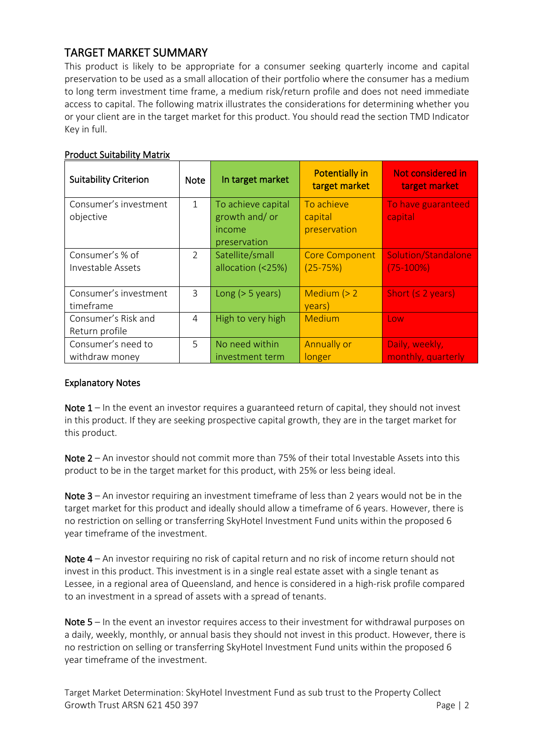## TARGET MARKET SUMMARY

This product is likely to be appropriate for a consumer seeking quarterly income and capital preservation to be used as a small allocation of their portfolio where the consumer has a medium to long term investment time frame, a medium risk/return profile and does not need immediate access to capital. The following matrix illustrates the considerations for determining whether you or your client are in the target market for this product. You should read the section TMD Indicator Key in full.

| <b>Suitability Criterion</b> | <b>Note</b>   | In target market   | <b>Potentially in</b><br>target market | Not considered in<br>target market |
|------------------------------|---------------|--------------------|----------------------------------------|------------------------------------|
| Consumer's investment        | $\mathbf{1}$  | To achieve capital | To achieve                             | To have guaranteed                 |
| objective                    |               | growth and/or      | capital                                | capital                            |
|                              |               | income             | preservation                           |                                    |
|                              |               | preservation       |                                        |                                    |
| Consumer's % of              | $\mathcal{P}$ | Satellite/small    | <b>Core Component</b>                  | Solution/Standalone                |
| Investable Assets            |               | allocation (<25%)  | $(25 - 75%)$                           | $(75-100%)$                        |
|                              |               |                    |                                        |                                    |
| Consumer's investment        | 3             | Long $(> 5$ years) | Medium $(> 2)$                         | Short $(2 years)$                  |
| timeframe                    |               |                    | years)                                 |                                    |
| Consumer's Risk and          | 4             | High to very high  | Medium                                 | Low                                |
| Return profile               |               |                    |                                        |                                    |
| Consumer's need to           | 5             | No need within     | Annually or                            | Daily, weekly,                     |
| withdraw money               |               | investment term    | longer                                 | monthly, quarterly                 |

#### Product Suitability Matrix

#### Explanatory Notes

Note  $1$  – In the event an investor requires a guaranteed return of capital, they should not invest in this product. If they are seeking prospective capital growth, they are in the target market for this product.

Note 2 – An investor should not commit more than 75% of their total Investable Assets into this product to be in the target market for this product, with 25% or less being ideal.

Note  $3 - An$  investor requiring an investment timeframe of less than 2 years would not be in the target market for this product and ideally should allow a timeframe of 6 years. However, there is no restriction on selling or transferring SkyHotel Investment Fund units within the proposed 6 year timeframe of the investment.

Note 4 – An investor requiring no risk of capital return and no risk of income return should not invest in this product. This investment is in a single real estate asset with a single tenant as Lessee, in a regional area of Queensland, and hence is considered in a high-risk profile compared to an investment in a spread of assets with a spread of tenants.

Note 5 – In the event an investor requires access to their investment for withdrawal purposes on a daily, weekly, monthly, or annual basis they should not invest in this product. However, there is no restriction on selling or transferring SkyHotel Investment Fund units within the proposed 6 year timeframe of the investment.

Target Market Determination: SkyHotel Investment Fund as sub trust to the Property Collect Growth Trust ARSN 621 450 397 Page | 2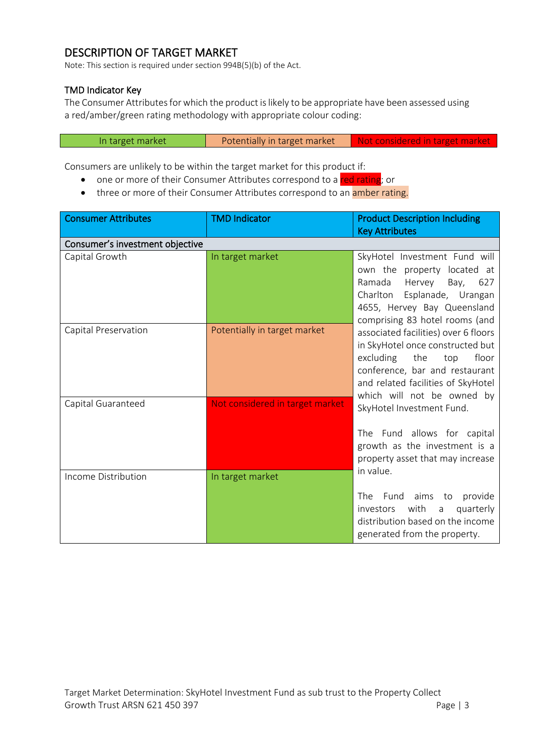# DESCRIPTION OF TARGET MARKET

Note: This section is required under section 994B(5)(b) of the Act.

#### TMD Indicator Key

The Consumer Attributes for which the product is likely to be appropriate have been assessed using a red/amber/green rating methodology with appropriate colour coding:

| In target market | Potentially in target market | Not considered in target market |
|------------------|------------------------------|---------------------------------|
|                  |                              |                                 |

Consumers are unlikely to be within the target market for this product if:

- one or more of their Consumer Attributes correspond to a red rating; or
- three or more of their Consumer Attributes correspond to an amber rating.

| <b>Consumer Attributes</b>      | <b>TMD Indicator</b>            | <b>Product Description Including</b><br><b>Key Attributes</b>                                                                                                                                                      |
|---------------------------------|---------------------------------|--------------------------------------------------------------------------------------------------------------------------------------------------------------------------------------------------------------------|
| Consumer's investment objective |                                 |                                                                                                                                                                                                                    |
| Capital Growth                  | In target market                | SkyHotel Investment Fund will<br>own the property located at<br>Ramada<br>Hervey<br>Bay,<br>627<br>Charlton Esplanade, Urangan<br>4655, Hervey Bay Queensland<br>comprising 83 hotel rooms (and                    |
| Capital Preservation            | Potentially in target market    | associated facilities) over 6 floors<br>in SkyHotel once constructed but<br>excluding<br>the<br>floor<br>top<br>conference, bar and restaurant<br>and related facilities of SkyHotel<br>which will not be owned by |
| Capital Guaranteed              | Not considered in target market | SkyHotel Investment Fund.<br>The Fund allows for capital<br>growth as the investment is a<br>property asset that may increase                                                                                      |
| Income Distribution             | In target market                | in value.<br>Fund<br>The<br>aims<br>provide<br>to<br>investors<br>with<br>quarterly<br>a<br>distribution based on the income<br>generated from the property.                                                       |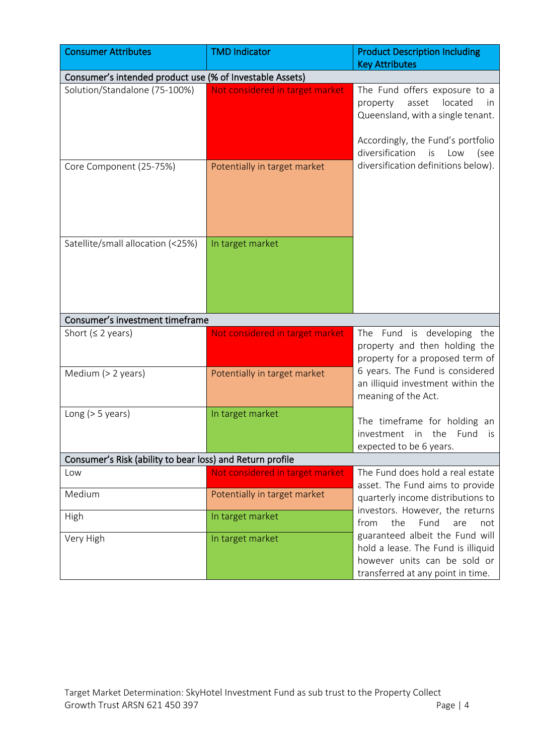| <b>Consumer Attributes</b>                                | <b>TMD Indicator</b>                                            | <b>Product Description Including</b><br><b>Key Attributes</b>                                                                                                                                 |
|-----------------------------------------------------------|-----------------------------------------------------------------|-----------------------------------------------------------------------------------------------------------------------------------------------------------------------------------------------|
| Consumer's intended product use (% of Investable Assets)  |                                                                 |                                                                                                                                                                                               |
| Solution/Standalone (75-100%)                             | Not considered in target market                                 | The Fund offers exposure to a<br>located<br>property<br>asset<br>in.<br>Queensland, with a single tenant.<br>Accordingly, the Fund's portfolio<br>diversification<br>is<br>Low<br>(see        |
| Core Component (25-75%)                                   | Potentially in target market                                    | diversification definitions below).                                                                                                                                                           |
| Satellite/small allocation (<25%)                         | In target market                                                |                                                                                                                                                                                               |
| Consumer's investment timeframe                           |                                                                 |                                                                                                                                                                                               |
| Short ( $\leq$ 2 years)<br>Medium (> 2 years)             | Not considered in target market<br>Potentially in target market | The Fund is developing the<br>property and then holding the<br>property for a proposed term of<br>6 years. The Fund is considered<br>an illiquid investment within the<br>meaning of the Act. |
| Long $(> 5$ years)                                        | In target market                                                | The timeframe for holding an<br>investment in the Fund<br>is i<br>expected to be 6 years.                                                                                                     |
| Consumer's Risk (ability to bear loss) and Return profile |                                                                 |                                                                                                                                                                                               |
| Low                                                       | Not considered in target market                                 | The Fund does hold a real estate<br>asset. The Fund aims to provide                                                                                                                           |
| Medium                                                    | Potentially in target market                                    | quarterly income distributions to                                                                                                                                                             |
| High                                                      | In target market                                                | investors. However, the returns<br>the<br>Fund<br>from<br>are<br>not                                                                                                                          |
| Very High                                                 | In target market                                                | guaranteed albeit the Fund will<br>hold a lease. The Fund is illiquid<br>however units can be sold or<br>transferred at any point in time.                                                    |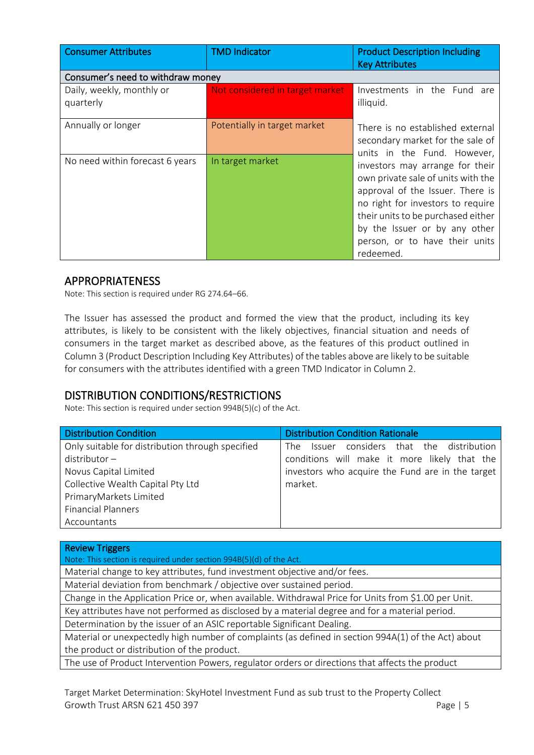| <b>Consumer Attributes</b>             | <b>TMD Indicator</b>            | <b>Product Description Including</b><br><b>Key Attributes</b>                                                                                                                                                                                                                                       |
|----------------------------------------|---------------------------------|-----------------------------------------------------------------------------------------------------------------------------------------------------------------------------------------------------------------------------------------------------------------------------------------------------|
| Consumer's need to withdraw money      |                                 |                                                                                                                                                                                                                                                                                                     |
| Daily, weekly, monthly or<br>quarterly | Not considered in target market | Investments in the Fund are<br>illiquid.                                                                                                                                                                                                                                                            |
| Annually or longer                     | Potentially in target market    | There is no established external<br>secondary market for the sale of                                                                                                                                                                                                                                |
| No need within forecast 6 years        | In target market                | units in the Fund. However,<br>investors may arrange for their<br>own private sale of units with the<br>approval of the Issuer. There is<br>no right for investors to require<br>their units to be purchased either<br>by the Issuer or by any other<br>person, or to have their units<br>redeemed. |

## APPROPRIATENESS

Note: This section is required under RG 274.64–66.

The Issuer has assessed the product and formed the view that the product, including its key attributes, is likely to be consistent with the likely objectives, financial situation and needs of consumers in the target market as described above, as the features of this product outlined in Column 3 (Product Description Including Key Attributes) of the tables above are likely to be suitable for consumers with the attributes identified with a green TMD Indicator in Column 2.

## DISTRIBUTION CONDITIONS/RESTRICTIONS

Note: This section is required under section 994B(5)(c) of the Act.

| <b>Distribution Condition</b>                    | <b>Distribution Condition Rationale</b>          |
|--------------------------------------------------|--------------------------------------------------|
| Only suitable for distribution through specified | Issuer considers that the distribution<br>The T  |
| $distributor -$                                  | conditions will make it more likely that the     |
| Novus Capital Limited                            | investors who acquire the Fund are in the target |
| Collective Wealth Capital Pty Ltd                | market.                                          |
| PrimaryMarkets Limited                           |                                                  |
| <b>Financial Planners</b>                        |                                                  |
| Accountants                                      |                                                  |

| <b>Review Triggers</b>                                                                               |
|------------------------------------------------------------------------------------------------------|
| Note: This section is required under section 994B(5)(d) of the Act.                                  |
| Material change to key attributes, fund investment objective and/or fees.                            |
| Material deviation from benchmark / objective over sustained period.                                 |
| Change in the Application Price or, when available. Withdrawal Price for Units from \$1.00 per Unit. |
| Key attributes have not performed as disclosed by a material degree and for a material period.       |
| Determination by the issuer of an ASIC reportable Significant Dealing.                               |
| Material or unexpectedly high number of complaints (as defined in section 994A(1) of the Act) about  |
| the product or distribution of the product.                                                          |
| The use of Product Intervention Powers, regulator orders or directions that affects the product      |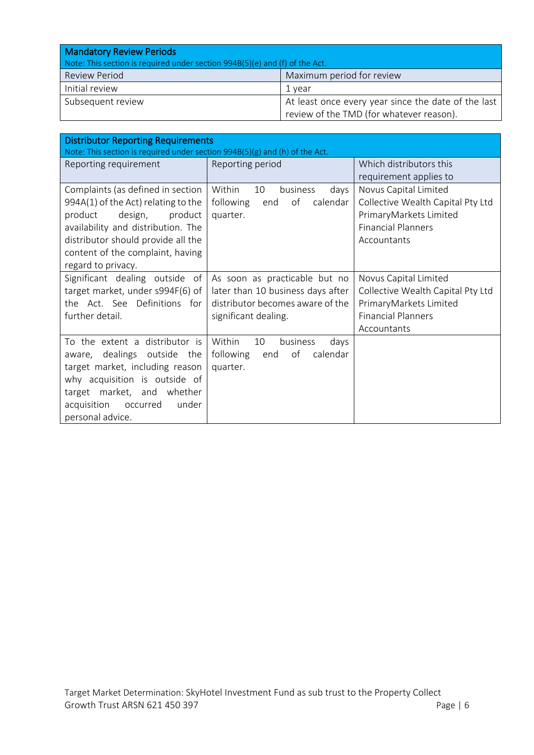| <b>Mandatory Review Periods</b>                                             |                                                     |
|-----------------------------------------------------------------------------|-----------------------------------------------------|
| Note: This section is required under section 994B(5)(e) and (f) of the Act. |                                                     |
| Review Period                                                               | Maximum period for review                           |
| Initial review                                                              | 1 vear                                              |
| Subsequent review                                                           | At least once every year since the date of the last |
|                                                                             | review of the TMD (for whatever reason).            |

| <b>Distributor Reporting Requirements</b><br>Note: This section is required under section 994B(5)(g) and (h) of the Act.                                                                                                                        |                                                                                                                                |                                                                                                                                  |
|-------------------------------------------------------------------------------------------------------------------------------------------------------------------------------------------------------------------------------------------------|--------------------------------------------------------------------------------------------------------------------------------|----------------------------------------------------------------------------------------------------------------------------------|
| Reporting requirement                                                                                                                                                                                                                           | Reporting period                                                                                                               | Which distributors this<br>requirement applies to                                                                                |
| Complaints (as defined in section<br>994A(1) of the Act) relating to the<br>product<br>product<br>design,<br>availability and distribution. The<br>distributor should provide all the<br>content of the complaint, having<br>regard to privacy. | Within<br>10<br>business<br>days<br>of<br>following<br>calendar<br>end<br>quarter.                                             | Novus Capital Limited<br>Collective Wealth Capital Pty Ltd<br>PrimaryMarkets Limited<br><b>Financial Planners</b><br>Accountants |
| Significant dealing outside of<br>target market, under s994F(6) of<br>the Act. See Definitions for<br>further detail.                                                                                                                           | As soon as practicable but no<br>later than 10 business days after<br>distributor becomes aware of the<br>significant dealing. | Novus Capital Limited<br>Collective Wealth Capital Pty Ltd<br>PrimaryMarkets Limited<br><b>Financial Planners</b><br>Accountants |
| To the extent a distributor is<br>dealings outside<br>the<br>aware.<br>target market, including reason<br>why acquisition is outside of<br>market, and whether<br>target<br>under<br>acquisition<br>occurred<br>personal advice.                | Within<br>10<br>business<br>days<br>of<br>following<br>calendar<br>end<br>quarter.                                             |                                                                                                                                  |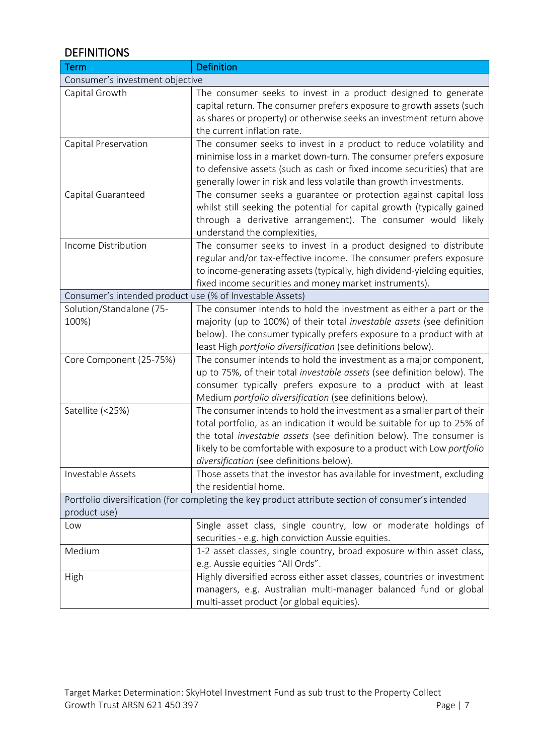## **DEFINITIONS**

| <b>Term</b>                                              | <b>Definition</b>                                                                                  |  |
|----------------------------------------------------------|----------------------------------------------------------------------------------------------------|--|
| Consumer's investment objective                          |                                                                                                    |  |
| Capital Growth                                           | The consumer seeks to invest in a product designed to generate                                     |  |
|                                                          | capital return. The consumer prefers exposure to growth assets (such                               |  |
|                                                          | as shares or property) or otherwise seeks an investment return above                               |  |
|                                                          | the current inflation rate.                                                                        |  |
| Capital Preservation                                     | The consumer seeks to invest in a product to reduce volatility and                                 |  |
|                                                          | minimise loss in a market down-turn. The consumer prefers exposure                                 |  |
|                                                          | to defensive assets (such as cash or fixed income securities) that are                             |  |
|                                                          | generally lower in risk and less volatile than growth investments.                                 |  |
| Capital Guaranteed                                       | The consumer seeks a guarantee or protection against capital loss                                  |  |
|                                                          | whilst still seeking the potential for capital growth (typically gained                            |  |
|                                                          | through a derivative arrangement). The consumer would likely                                       |  |
|                                                          | understand the complexities,                                                                       |  |
| Income Distribution                                      | The consumer seeks to invest in a product designed to distribute                                   |  |
|                                                          | regular and/or tax-effective income. The consumer prefers exposure                                 |  |
|                                                          | to income-generating assets (typically, high dividend-yielding equities,                           |  |
|                                                          | fixed income securities and money market instruments).                                             |  |
| Consumer's intended product use (% of Investable Assets) |                                                                                                    |  |
| Solution/Standalone (75-                                 | The consumer intends to hold the investment as either a part or the                                |  |
| 100%)                                                    | majority (up to 100%) of their total investable assets (see definition                             |  |
|                                                          | below). The consumer typically prefers exposure to a product with at                               |  |
|                                                          | least High portfolio diversification (see definitions below).                                      |  |
| Core Component (25-75%)                                  | The consumer intends to hold the investment as a major component,                                  |  |
|                                                          | up to 75%, of their total investable assets (see definition below). The                            |  |
|                                                          | consumer typically prefers exposure to a product with at least                                     |  |
|                                                          | Medium portfolio diversification (see definitions below).                                          |  |
| Satellite (<25%)                                         | The consumer intends to hold the investment as a smaller part of their                             |  |
|                                                          | total portfolio, as an indication it would be suitable for up to 25% of                            |  |
|                                                          | the total investable assets (see definition below). The consumer is                                |  |
|                                                          | likely to be comfortable with exposure to a product with Low portfolio                             |  |
|                                                          | diversification (see definitions below).                                                           |  |
| Investable Assets                                        | Those assets that the investor has available for investment, excluding                             |  |
|                                                          | the residential home.                                                                              |  |
|                                                          | Portfolio diversification (for completing the key product attribute section of consumer's intended |  |
| product use)                                             |                                                                                                    |  |
| Low                                                      | Single asset class, single country, low or moderate holdings of                                    |  |
|                                                          | securities - e.g. high conviction Aussie equities.                                                 |  |
| Medium                                                   | 1-2 asset classes, single country, broad exposure within asset class,                              |  |
|                                                          | e.g. Aussie equities "All Ords".                                                                   |  |
| High                                                     | Highly diversified across either asset classes, countries or investment                            |  |
|                                                          | managers, e.g. Australian multi-manager balanced fund or global                                    |  |
|                                                          | multi-asset product (or global equities).                                                          |  |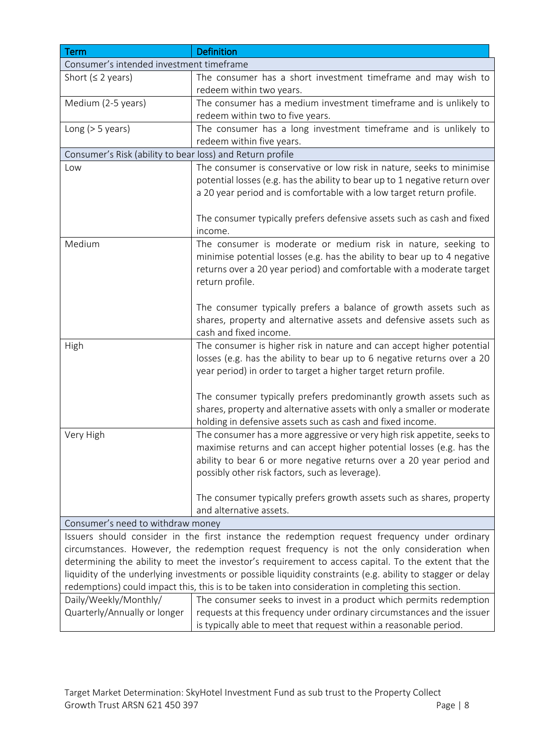| Term                                                      | <b>Definition</b>                                                                                                                                                        |
|-----------------------------------------------------------|--------------------------------------------------------------------------------------------------------------------------------------------------------------------------|
| Consumer's intended investment timeframe                  |                                                                                                                                                                          |
| Short ( $\leq$ 2 years)                                   | The consumer has a short investment timeframe and may wish to                                                                                                            |
|                                                           | redeem within two years.                                                                                                                                                 |
| Medium (2-5 years)                                        | The consumer has a medium investment timeframe and is unlikely to                                                                                                        |
|                                                           | redeem within two to five years.                                                                                                                                         |
| Long $(> 5$ years)                                        | The consumer has a long investment timeframe and is unlikely to                                                                                                          |
|                                                           | redeem within five years.                                                                                                                                                |
| Consumer's Risk (ability to bear loss) and Return profile |                                                                                                                                                                          |
| Low                                                       | The consumer is conservative or low risk in nature, seeks to minimise                                                                                                    |
|                                                           | potential losses (e.g. has the ability to bear up to 1 negative return over                                                                                              |
|                                                           | a 20 year period and is comfortable with a low target return profile.                                                                                                    |
|                                                           |                                                                                                                                                                          |
|                                                           | The consumer typically prefers defensive assets such as cash and fixed                                                                                                   |
|                                                           | income.                                                                                                                                                                  |
| Medium                                                    | The consumer is moderate or medium risk in nature, seeking to                                                                                                            |
|                                                           | minimise potential losses (e.g. has the ability to bear up to 4 negative                                                                                                 |
|                                                           | returns over a 20 year period) and comfortable with a moderate target                                                                                                    |
|                                                           | return profile.                                                                                                                                                          |
|                                                           |                                                                                                                                                                          |
|                                                           | The consumer typically prefers a balance of growth assets such as<br>shares, property and alternative assets and defensive assets such as                                |
|                                                           | cash and fixed income.                                                                                                                                                   |
| High                                                      | The consumer is higher risk in nature and can accept higher potential                                                                                                    |
|                                                           | losses (e.g. has the ability to bear up to 6 negative returns over a 20                                                                                                  |
|                                                           | year period) in order to target a higher target return profile.                                                                                                          |
|                                                           |                                                                                                                                                                          |
|                                                           | The consumer typically prefers predominantly growth assets such as                                                                                                       |
|                                                           | shares, property and alternative assets with only a smaller or moderate                                                                                                  |
|                                                           | holding in defensive assets such as cash and fixed income.                                                                                                               |
| Very High                                                 | The consumer has a more aggressive or very high risk appetite, seeks to                                                                                                  |
|                                                           | maximise returns and can accept higher potential losses (e.g. has the                                                                                                    |
|                                                           | ability to bear 6 or more negative returns over a 20 year period and                                                                                                     |
|                                                           | possibly other risk factors, such as leverage).                                                                                                                          |
|                                                           |                                                                                                                                                                          |
|                                                           | The consumer typically prefers growth assets such as shares, property                                                                                                    |
|                                                           | and alternative assets.                                                                                                                                                  |
| Consumer's need to withdraw money                         |                                                                                                                                                                          |
|                                                           | Issuers should consider in the first instance the redemption request frequency under ordinary                                                                            |
|                                                           | circumstances. However, the redemption request frequency is not the only consideration when                                                                              |
|                                                           | determining the ability to meet the investor's requirement to access capital. To the extent that the                                                                     |
|                                                           | liquidity of the underlying investments or possible liquidity constraints (e.g. ability to stagger or delay                                                              |
| Daily/Weekly/Monthly/                                     | redemptions) could impact this, this is to be taken into consideration in completing this section.<br>The consumer seeks to invest in a product which permits redemption |
| Quarterly/Annually or longer                              | requests at this frequency under ordinary circumstances and the issuer                                                                                                   |
|                                                           | is typically able to meet that request within a reasonable period.                                                                                                       |
|                                                           |                                                                                                                                                                          |